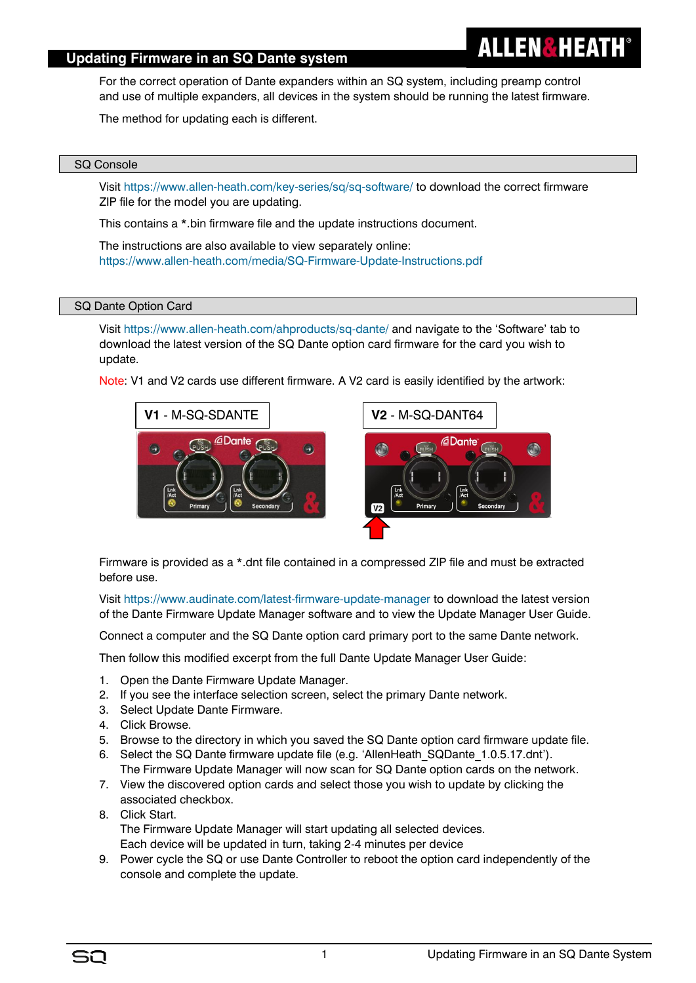# **Updating Firmware in an SQ Dante system**

For the correct operation of Dante expanders within an SQ system, including preamp control and use of multiple expanders, all devices in the system should be running the latest firmware.

The method for updating each is different.

## SQ Console

Visit<https://www.allen-heath.com/key-series/sq/sq-software/> to download the correct firmware ZIP file for the model you are updating.

This contains a \*.bin firmware file and the update instructions document.

The instructions are also available to view separately online: <https://www.allen-heath.com/media/SQ-Firmware-Update-Instructions.pdf>

## SQ Dante Option Card

Visit<https://www.allen-heath.com/ahproducts/sq-dante/> and navigate to the 'Software' tab to download the latest version of the SQ Dante option card firmware for the card you wish to update.

Note: V1 and V2 cards use different firmware. A V2 card is easily identified by the artwork:





**ALLEN&HEATH** 

Firmware is provided as a \*.dnt file contained in a compressed ZIP file and must be extracted before use.

Visit<https://www.audinate.com/latest-firmware-update-manager> to download the latest version of the Dante Firmware Update Manager software and to view the Update Manager User Guide.

Connect a computer and the SQ Dante option card primary port to the same Dante network.

Then follow this modified excerpt from the full Dante Update Manager User Guide:

- 1. Open the Dante Firmware Update Manager.
- 2. If you see the interface selection screen, select the primary Dante network.
- 3. Select Update Dante Firmware.
- 4. Click Browse.
- 5. Browse to the directory in which you saved the SQ Dante option card firmware update file.
- 6. Select the SQ Dante firmware update file (e.g. 'AllenHeath\_SQDante\_1.0.5.17.dnt'). The Firmware Update Manager will now scan for SQ Dante option cards on the network.
- 7. View the discovered option cards and select those you wish to update by clicking the associated checkbox.
- 8. Click Start. The Firmware Update Manager will start updating all selected devices. Each device will be updated in turn, taking 2-4 minutes per device
- 9. Power cycle the SQ or use Dante Controller to reboot the option card independently of the console and complete the update.

SO